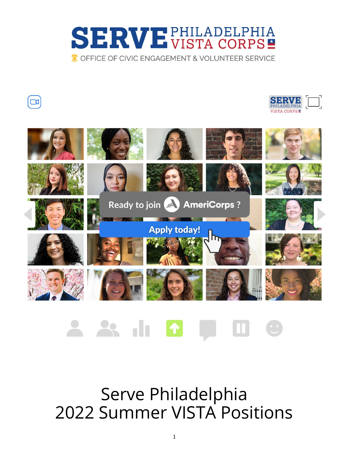







#### <u> 28 ili 17</u>  $\mathbf{u}$

Serve Philadelphia 2022 Summer VISTA Positions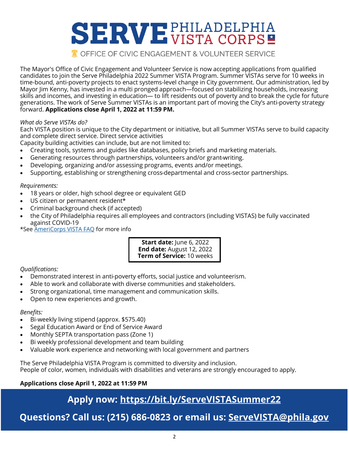

The Mayor's Office of Civic Engagement and Volunteer Service is now accepting applications from qualified candidates to join the Serve Philadelphia 2022 Summer VISTA Program. Summer VISTAs serve for 10 weeks in time-bound, anti-poverty projects to enact systems-level change in City government. Our administration, led by Mayor Jim Kenny, has invested in a multi pronged approach—focused on stabilizing households, increasing skills and incomes, and investing in education— to lift residents out of poverty and to break the cycle for future generations. The work of Serve Summer VISTAs is an important part of moving the City's anti-poverty strategy forward. **Applications close April 1, 2022 at 11:59 PM.**

#### *What do Serve VISTAs do?*

Each VISTA position is unique to the City department or initiative, but all Summer VISTAs serve to build capacity and complete direct service. Direct service activities

Capacity building activities can include, but are not limited to:

- Creating tools, systems and guides like databases, policy briefs and marketing materials.
- Generating resources through partnerships, volunteers and/or grant-writing.
- Developing, organizing and/or assessing programs, events and/or meetings.
- Supporting, establishing or strengthening cross-departmental and cross-sector partnerships.

#### *Requirements:*

- 18 years or older, high school degree or equivalent GED
- US citizen or permanent resident\*
- Criminal background check (if accepted)
- the City of Philadelphia requires all employees and contractors (including VISTAS) be fully vaccinated against COVID-19

\*See [AmeriCorps VISTA FAQ](https://americorps.gov/serve/faqs) for more info

**Start date:** June 6, 2022 **End date:** August 12, 2022 **Term of Service:** 10 weeks

#### *Qualifications:*

- Demonstrated interest in anti-poverty efforts, social justice and volunteerism.
- Able to work and collaborate with diverse communities and stakeholders.
- Strong organizational, time management and communication skills.
- Open to new experiences and growth.

#### *Benefits:*

- Bi-weekly living stipend (approx. \$575.40)
- Segal Education Award or End of Service Award
- Monthly SEPTA transportation pass (Zone 1)
- Bi weekly professional development and team building
- Valuable work experience and networking with local government and partners

The Serve Philadelphia VISTA Program is committed to diversity and inclusion.

People of color, women, individuals with disabilities and veterans are strongly encouraged to apply.

#### **Applications close April 1, 2022 at 11:59 PM**

#### **Apply now: <https://bit.ly/ServeVISTASummer22>**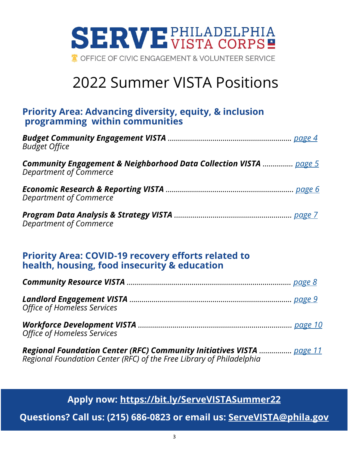

# 2022 Summer VISTA Positions

#### **Priority Area: Advancing diversity, equity, & inclusion programming within communities**

| <b>Budget Office</b>                                                                                         |  |
|--------------------------------------------------------------------------------------------------------------|--|
| <b>Community Engagement &amp; Neighborhood Data Collection VISTA</b> page 5<br><b>Department of Commerce</b> |  |
| Department of Commerce                                                                                       |  |
| <b>Department of Commerce</b>                                                                                |  |

#### **Priority Area: COVID-19 recovery efforts related to health, housing, food insecurity & education**

| Office of Homeless Services |  |
|-----------------------------|--|
|                             |  |

*Regional Foundation Center (RFC) Community Initiatives VISTA ……………. [page 11](#page-10-0) Regional Foundation Center (RFC) of the Free Library of Philadelphia*

**Apply now: <https://bit.ly/ServeVISTASummer22>**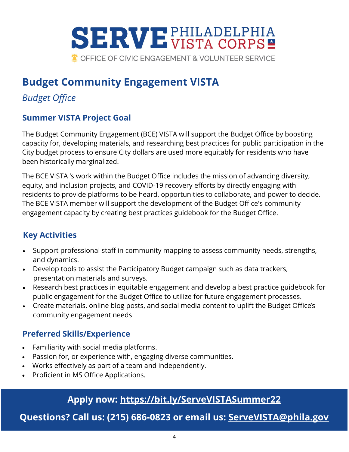<span id="page-3-0"></span>

## **Budget Community Engagement VISTA**

## *Budget Office*

#### **Summer VISTA Project Goal**

The Budget Community Engagement (BCE) VISTA will support the Budget Office by boosting capacity for, developing materials, and researching best practices for public participation in the City budget process to ensure City dollars are used more equitably for residents who have been historically marginalized.

The BCE VISTA 's work within the Budget Office includes the mission of advancing diversity, equity, and inclusion projects, and COVID-19 recovery efforts by directly engaging with residents to provide platforms to be heard, opportunities to collaborate, and power to decide. The BCE VISTA member will support the development of the Budget Office's community engagement capacity by creating best practices guidebook for the Budget Office.

#### **Key Activities**

- Support professional staff in community mapping to assess community needs, strengths, and dynamics.
- Develop tools to assist the Participatory Budget campaign such as data trackers, presentation materials and surveys.
- Research best practices in equitable engagement and develop a best practice guidebook for public engagement for the Budget Office to utilize for future engagement processes.
- Create materials, online blog posts, and social media content to uplift the Budget Office's community engagement needs

#### **Preferred Skills/Experience**

- Familiarity with social media platforms.
- Passion for, or experience with, engaging diverse communities.
- Works effectively as part of a team and independently.
- Proficient in MS Office Applications.

## **Apply now: <https://bit.ly/ServeVISTASummer22>**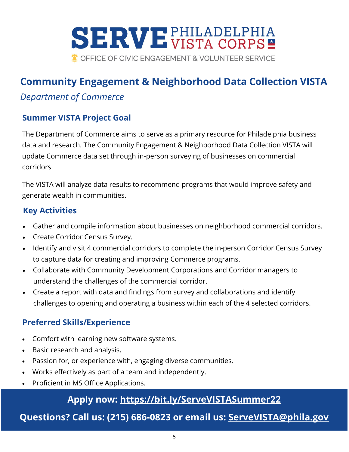<span id="page-4-0"></span>

# **Community Engagement & Neighborhood Data Collection VISTA**

#### *Department of Commerce*

#### **Summer VISTA Project Goal**

The Department of Commerce aims to serve as a primary resource for Philadelphia business data and research. The Community Engagement & Neighborhood Data Collection VISTA will update Commerce data set through in-person surveying of businesses on commercial corridors.

The VISTA will analyze data results to recommend programs that would improve safety and generate wealth in communities.

#### **Key Activities**

- Gather and compile information about businesses on neighborhood commercial corridors.
- Create Corridor Census Survey.
- Identify and visit 4 commercial corridors to complete the in-person Corridor Census Survey to capture data for creating and improving Commerce programs.
- Collaborate with Community Development Corporations and Corridor managers to understand the challenges of the commercial corridor.
- Create a report with data and findings from survey and collaborations and identify challenges to opening and operating a business within each of the 4 selected corridors.

#### **Preferred Skills/Experience**

- Comfort with learning new software systems.
- Basic research and analysis.
- Passion for, or experience with, engaging diverse communities.
- Works effectively as part of a team and independently.
- Proficient in MS Office Applications.

## **Apply now: <https://bit.ly/ServeVISTASummer22>**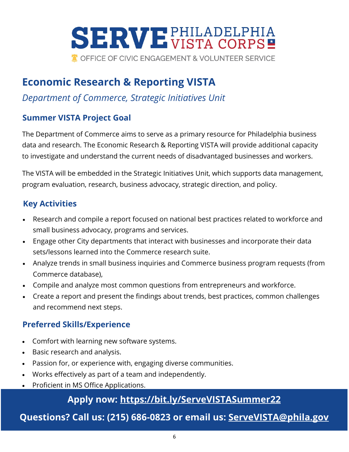# <span id="page-5-0"></span>**SERVE PHILADELPHIA**

TOFFICE OF CIVIC ENGAGEMENT & VOLUNTEER SERVICE

# **Economic Research & Reporting VISTA**

#### *Department of Commerce, Strategic Initiatives Unit*

#### **Summer VISTA Project Goal**

The Department of Commerce aims to serve as a primary resource for Philadelphia business data and research. The Economic Research & Reporting VISTA will provide additional capacity to investigate and understand the current needs of disadvantaged businesses and workers.

The VISTA will be embedded in the Strategic Initiatives Unit, which supports data management, program evaluation, research, business advocacy, strategic direction, and policy.

#### **Key Activities**

- Research and compile a report focused on national best practices related to workforce and small business advocacy, programs and services.
- Engage other City departments that interact with businesses and incorporate their data sets/lessons learned into the Commerce research suite.
- Analyze trends in small business inquiries and Commerce business program requests (from Commerce database),
- Compile and analyze most common questions from entrepreneurs and workforce.
- Create a report and present the findings about trends, best practices, common challenges and recommend next steps.

#### **Preferred Skills/Experience**

- Comfort with learning new software systems.
- Basic research and analysis.
- Passion for, or experience with, engaging diverse communities.
- Works effectively as part of a team and independently.
- Proficient in MS Office Applications.

#### **Apply now: <https://bit.ly/ServeVISTASummer22>**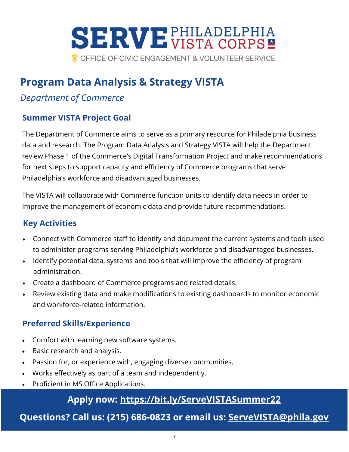<span id="page-6-0"></span>

## **Program Data Analysis & Strategy VISTA**

## *Department of Commerce*

#### **Summer VISTA Project Goal**

The Department of Commerce aims to serve as a primary resource for Philadelphia business data and research. The Program Data Analysis and Strategy VISTA will help the Department review Phase 1 of the Commerce's Digital Transformation Project and make recommendations for next steps to support capacity and efficiency of Commerce programs that serve Philadelphia's workforce and disadvantaged businesses.

The VISTA will collaborate with Commerce function units to identify data needs in order to Improve the management of economic data and provide future recommendations.

#### **Key Activities**

- Connect with Commerce staff to identify and document the current systems and tools used to administer programs serving Philadelphia's workforce and disadvantaged businesses.
- Identify potential data, systems and tools that will improve the efficiency of program administration.
- Create a dashboard of Commerce programs and related details.
- Review existing data and make modifications to existing dashboards to monitor economic and workforce-related information.

#### **Preferred Skills/Experience**

- Comfort with learning new software systems.
- Basic research and analysis.
- Passion for, or experience with, engaging diverse communities.
- Works effectively as part of a team and independently.
- Proficient in MS Office Applications.

#### **Apply now: <https://bit.ly/ServeVISTASummer22>**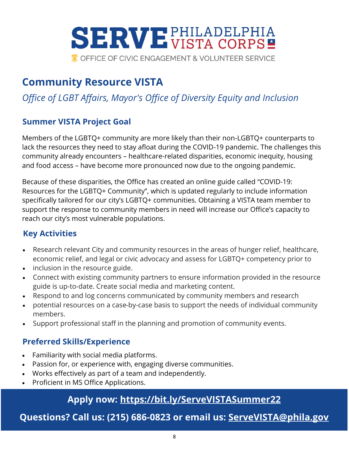<span id="page-7-0"></span>

# **Community Resource VISTA**

## *Office of LGBT Affairs, Mayor's Office of Diversity Equity and Inclusion*

#### **Summer VISTA Project Goal**

Members of the LGBTQ+ community are more likely than their non-LGBTQ+ counterparts to lack the resources they need to stay afloat during the COVID-19 pandemic. The challenges this community already encounters – healthcare-related disparities, economic inequity, housing and food access – have become more pronounced now due to the ongoing pandemic.

Because of these disparities, the Office has created an online guide called "COVID-19: Resources for the LGBTQ+ Community", which is updated regularly to include information specifically tailored for our city's LGBTQ+ communities. Obtaining a VISTA team member to support the response to community members in need will increase our Office's capacity to reach our city's most vulnerable populations.

#### **Key Activities**

- Research relevant City and community resources in the areas of hunger relief, healthcare, economic relief, and legal or civic advocacy and assess for LGBTQ+ competency prior to
- inclusion in the resource guide.
- Connect with existing community partners to ensure information provided in the resource guide is up-to-date. Create social media and marketing content.
- Respond to and log concerns communicated by community members and research
- potential resources on a case-by-case basis to support the needs of individual community members.
- Support professional staff in the planning and promotion of community events.

#### **Preferred Skills/Experience**

- Familiarity with social media platforms.
- Passion for, or experience with, engaging diverse communities.
- Works effectively as part of a team and independently.
- Proficient in MS Office Applications.

#### **Apply now: <https://bit.ly/ServeVISTASummer22>**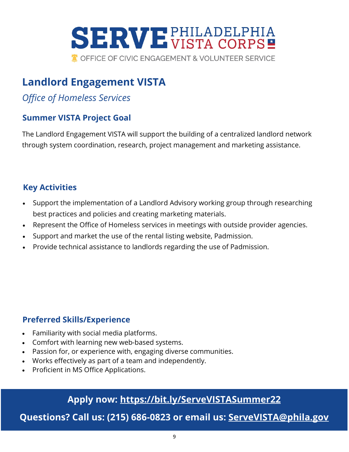<span id="page-8-0"></span>

## **Landlord Engagement VISTA**

## *Office of Homeless Services*

#### **Summer VISTA Project Goal**

The Landlord Engagement VISTA will support the building of a centralized landlord network through system coordination, research, project management and marketing assistance.

#### **Key Activities**

- Support the implementation of a Landlord Advisory working group through researching best practices and policies and creating marketing materials.
- Represent the Office of Homeless services in meetings with outside provider agencies.
- Support and market the use of the rental listing website, Padmission.
- Provide technical assistance to landlords regarding the use of Padmission.

#### **Preferred Skills/Experience**

- Familiarity with social media platforms.
- Comfort with learning new web-based systems.
- Passion for, or experience with, engaging diverse communities.
- Works effectively as part of a team and independently.
- Proficient in MS Office Applications.

#### **Apply now: <https://bit.ly/ServeVISTASummer22>**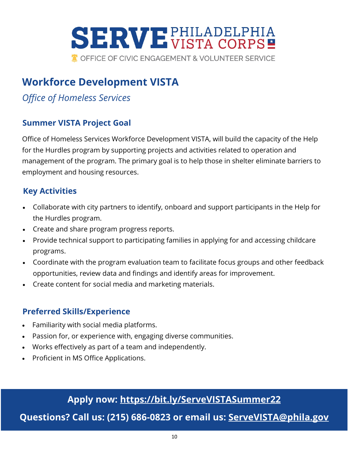<span id="page-9-0"></span>

# **Workforce Development VISTA**

## *Office of Homeless Services*

#### **Summer VISTA Project Goal**

Office of Homeless Services Workforce Development VISTA, will build the capacity of the Help for the Hurdles program by supporting projects and activities related to operation and management of the program. The primary goal is to help those in shelter eliminate barriers to employment and housing resources.

#### **Key Activities**

- Collaborate with city partners to identify, onboard and support participants in the Help for the Hurdles program.
- Create and share program progress reports.
- Provide technical support to participating families in applying for and accessing childcare programs.
- Coordinate with the program evaluation team to facilitate focus groups and other feedback opportunities, review data and findings and identify areas for improvement.
- Create content for social media and marketing materials.

#### **Preferred Skills/Experience**

- Familiarity with social media platforms.
- Passion for, or experience with, engaging diverse communities.
- Works effectively as part of a team and independently.
- Proficient in MS Office Applications.

#### **Apply now: <https://bit.ly/ServeVISTASummer22>**